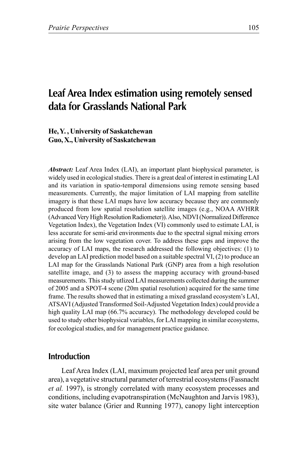# **Leaf Area Index estimation using remotely sensed data for Grasslands National Park**

### **He, Y. , University of Saskatchewan Guo, X., University of Saskatchewan**

*Abstract:* Leaf Area Index (LAI), an important plant biophysical parameter, is widely used in ecological studies. There is a great deal of interest in estimating LAI and its variation in spatio-temporal dimensions using remote sensing based measurements. Currently, the major limitation of LAI mapping from satellite imagery is that these LAI maps have low accuracy because they are commonly produced from low spatial resolution satellite images (e.g., NOAA AVHRR (Advanced Very High Resolution Radiometer)). Also, NDVI (Normalized Difference Vegetation Index), the Vegetation Index (VI) commonly used to estimate LAI, is less accurate for semi-arid environments due to the spectral signal mixing errors arising from the low vegetation cover. To address these gaps and improve the accuracy of LAI maps, the research addressed the following objectives: (1) to develop an LAI prediction model based on a suitable spectral VI, (2) to produce an LAI map for the Grasslands National Park (GNP) area from a high resolution satellite image, and (3) to assess the mapping accuracy with ground-based measurements. This study utlized LAI measurements collected during the summer of 2005 and a SPOT-4 scene (20m spatial resolution) acquired for the same time frame. The results showed that in estimating a mixed grassland ecosystem's LAI, ATSAVI (Adjusted Transformed Soil-Adjusted Vegetation Index) could provide a high quality LAI map (66.7% accuracy). The methodology developed could be used to study other biophysical variables, for LAI mapping in similar ecosystems, for ecological studies, and for management practice guidance.

# **Introduction**

Leaf Area Index (LAI, maximum projected leaf area per unit ground area), a vegetative structural parameter of terrestrial ecosystems (Fassnacht *et al.* 1997), is strongly correlated with many ecosystem processes and conditions, including evapotranspiration (McNaughton and Jarvis 1983), site water balance (Grier and Running 1977), canopy light interception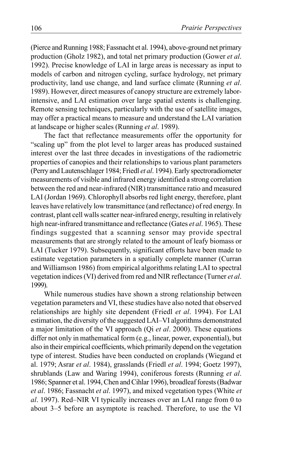(Pierce and Running 1988; Fassnacht et al. 1994), above-ground net primary production (Gholz 1982), and total net primary production (Gower *et al*. 1992). Precise knowledge of LAI in large areas is necessary as input to models of carbon and nitrogen cycling, surface hydrology, net primary productivity, land use change, and land surface climate (Running *et al*. 1989). However, direct measures of canopy structure are extremely laborintensive, and LAI estimation over large spatial extents is challenging. Remote sensing techniques, particularly with the use of satellite images, may offer a practical means to measure and understand the LAI variation at landscape or higher scales (Running *et al*. 1989).

The fact that reflectance measurements offer the opportunity for "scaling up" from the plot level to larger areas has produced sustained interest over the last three decades in investigations of the radiometric properties of canopies and their relationships to various plant parameters (Perry and Lautenschlager 1984; Friedl *et al*. 1994). Early spectroradiometer measurements of visible and infrared energy identified a strong correlation between the red and near-infrared (NIR) transmittance ratio and measured LAI (Jordan 1969). Chlorophyll absorbs red light energy, therefore, plant leaves have relatively low transmittance (and reflectance) of red energy. In contrast, plant cell walls scatter near-infrared energy, resulting in relatively high near-infrared transmittance and reflectance (Gates *et al*. 1965). These findings suggested that a scanning sensor may provide spectral measurements that are strongly related to the amount of leafy biomass or LAI (Tucker 1979). Subsequently, significant efforts have been made to estimate vegetation parameters in a spatially complete manner (Curran and Williamson 1986) from empirical algorithms relating LAI to spectral vegetation indices (VI) derived from red and NIR reflectance (Turner *et al*. 1999).

While numerous studies have shown a strong relationship between vegetation parameters and VI, these studies have also noted that observed relationships are highly site dependent (Friedl *et al*. 1994). For LAI estimation, the diversity of the suggested LAI–VI algorithms demonstrated a major limitation of the VI approach (Qi *et al*. 2000). These equations differ not only in mathematical form (e.g., linear, power, exponential), but also in their empirical coefficients, which primarily depend on the vegetation type of interest. Studies have been conducted on croplands (Wiegand et al. 1979; Asrar *et al*. 1984), grasslands (Friedl *et al*. 1994; Goetz 1997), shrublands (Law and Waring 1994), coniferous forests (Running *et al*. 1986; Spanner et al. 1994, Chen and Cihlar 1996), broadleaf forests (Badwar *et al*. 1986; Fassnacht *et al*. 1997), and mixed vegetation types (White *et al*. 1997). Red–NIR VI typically increases over an LAI range from 0 to about 3–5 before an asymptote is reached. Therefore, to use the VI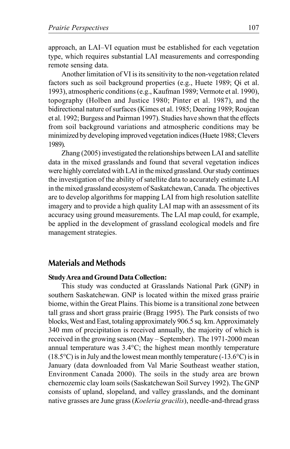approach, an LAI–VI equation must be established for each vegetation type, which requires substantial LAI measurements and corresponding remote sensing data.

Another limitation of VI is its sensitivity to the non-vegetation related factors such as soil background properties (e.g., Huete 1989; Qi et al. 1993), atmospheric conditions (e.g., Kaufman 1989; Vermote et al. 1990), topography (Holben and Justice 1980; Pinter et al. 1987), and the bidirectional nature of surfaces (Kimes et al. 1985; Deering 1989; Roujean et al. 1992; Burgess and Pairman 1997). Studies have shown that the effects from soil background variations and atmospheric conditions may be minimized by developing improved vegetation indices (Huete 1988; Clevers 1989).

Zhang (2005) investigated the relationships between LAI and satellite data in the mixed grasslands and found that several vegetation indices were highly correlated with LAI in the mixed grassland. Our study continues the investigation of the ability of satellite data to accurately estimate LAI in the mixed grassland ecosystem of Saskatchewan, Canada. The objectives are to develop algorithms for mapping LAI from high resolution satellite imagery and to provide a high quality LAI map with an assessment of its accuracy using ground measurements. The LAI map could, for example, be applied in the development of grassland ecological models and fire management strategies.

# **Materials and Methods**

### **Study Area and Ground Data Collection:**

This study was conducted at Grasslands National Park (GNP) in southern Saskatchewan. GNP is located within the mixed grass prairie biome, within the Great Plains. This biome is a transitional zone between tall grass and short grass prairie (Bragg 1995). The Park consists of two blocks, West and East, totaling approximately 906.5 sq. km. Approximately 340 mm of precipitation is received annually, the majority of which is received in the growing season (May – September). The 1971-2000 mean annual temperature was 3.4°C; the highest mean monthly temperature  $(18.5^{\circ}C)$  is in July and the lowest mean monthly temperature (-13.6°C) is in January (data downloaded from Val Marie Southeast weather station, Environment Canada 2000). The soils in the study area are brown chernozemic clay loam soils (Saskatchewan Soil Survey 1992). The GNP consists of upland, slopeland, and valley grasslands, and the dominant native grasses are June grass (*Koeleria gracilis*), needle-and-thread grass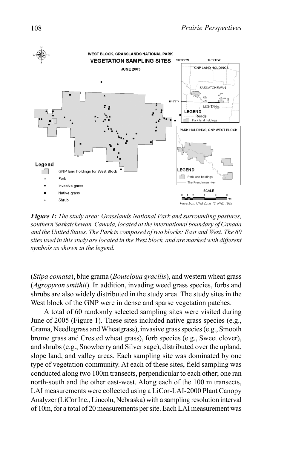

*Figure 1: The study area: Grasslands National Park and surrounding pastures, southern Saskatchewan, Canada, located at the international boundary of Canada and the United States. The Park is composed of two blocks: East and West. The 60 sites used in this study are located in the West block, and are marked with different symbols as shown in the legend.*

(*Stipa comata*), blue grama (*Bouteloua gracilis*), and western wheat grass (*Agropyron smithii*). In addition, invading weed grass species, forbs and shrubs are also widely distributed in the study area. The study sites in the West block of the GNP were in dense and sparse vegetation patches.

A total of 60 randomly selected sampling sites were visited during June of 2005 (Figure 1). These sites included native grass species (e.g., Grama, Needlegrass and Wheatgrass), invasive grass species (e.g., Smooth brome grass and Crested wheat grass), forb species (e.g., Sweet clover), and shrubs (e.g., Snowberry and Silver sage), distributed over the upland, slope land, and valley areas. Each sampling site was dominated by one type of vegetation community. At each of these sites, field sampling was conducted along two 100m transects, perpendicular to each other; one ran north-south and the other east-west. Along each of the 100 m transects, LAI measurements were collected using a LiCor-LAI-2000 Plant Canopy Analyzer (LiCor Inc., Lincoln, Nebraska) with a sampling resolution interval of 10m, for a total of 20 measurements per site. Each LAI measurement was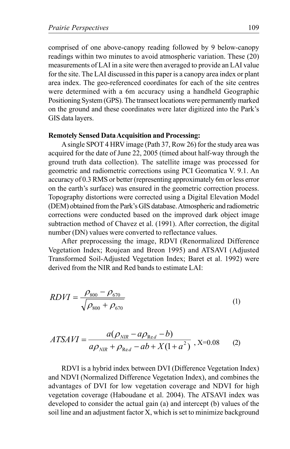comprised of one above-canopy reading followed by 9 below-canopy readings within two minutes to avoid atmospheric variation. These (20) measurements of LAI in a site were then averaged to provide an LAI value for the site. The LAI discussed in this paper is a canopy area index or plant area index. The geo-referenced coordinates for each of the site centres were determined with a 6m accuracy using a handheld Geographic Positioning System (GPS). The transect locations were permanently marked on the ground and these coordinates were later digitized into the Park's GIS data layers.

#### **Remotely Sensed Data Acquisition and Processing:**

A single SPOT 4 HRV image (Path 37, Row 26) for the study area was acquired for the date of June 22, 2005 (timed about half-way through the ground truth data collection). The satellite image was processed for geometric and radiometric corrections using PCI Geomatica V. 9.1. An accuracy of 0.3 RMS or better (representing approximately 6m or less error on the earth's surface) was ensured in the geometric correction process. Topography distortions were corrected using a Digital Elevation Model (DEM) obtained from the Park's GIS database. Atmospheric and radiometric corrections were conducted based on the improved dark object image subtraction method of Chavez et al. (1991). After correction, the digital number (DN) values were converted to reflectance values.

After preprocessing the image, RDVI (Renormalized Difference Vegetation Index; Roujean and Breon 1995) and ATSAVI (Adjusted Transformed Soil-Adjusted Vegetation Index; Baret et al. 1992) were derived from the NIR and Red bands to estimate LAI:

$$
RDVI = \frac{\rho_{800} - \rho_{670}}{\sqrt{\rho_{800} + \rho_{670}}}
$$
(1)

$$
ATSAVI = \frac{a(\rho_{NIR} - a\rho_{Red} - b)}{a\rho_{NIR} + \rho_{Red} - ab + X(1 + a^2)}, X = 0.08
$$
 (2)

RDVI is a hybrid index between DVI (Difference Vegetation Index) and NDVI (Normalized Difference Vegetation Index), and combines the advantages of DVI for low vegetation coverage and NDVI for high vegetation coverage (Haboudane et al. 2004). The ATSAVI index was developed to consider the actual gain (a) and intercept (b) values of the soil line and an adjustment factor X, which is set to minimize background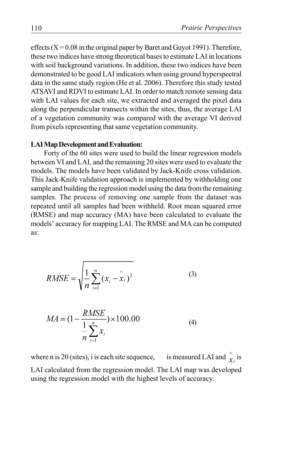effects  $(X = 0.08$  in the original paper by Baret and Guyot 1991). Therefore, these two indices have strong theoretical bases to estimate LAI in locations with soil background variations. In addition, these two indices have been demonstrated to be good LAI indicators when using ground hyperspectral data in the same study region (He et al. 2006). Therefore this study tested ATSAVI and RDVI to estimate LAI. In order to match remote sensing data with LAI values for each site, we extracted and averaged the pixel data along the perpendicular transects within the sites, thus, the average LAI of a vegetation community was compared with the average VI derived from pixels representing that same vegetation community.

### **LAI Map Development and Evaluation:**

Forty of the 60 sites were used to build the linear regression models between VI and LAI, and the remaining 20 sites were used to evaluate the models. The models have been validated by Jack-Knife cross validation. This Jack-Knife validation approach is implemented by withholding one sample and building the regression model using the data from the remaining samples. The process of removing one sample from the dataset was repeated until all samples had been withheld. Root mean squared error (RMSE) and map accuracy (MA) have been calculated to evaluate the models' accuracy for mapping LAI. The RMSE and MA can be computed as:

$$
RMSE = \sqrt{\frac{1}{n} \sum_{i=1}^{n} (x_i - \hat{x}_i)^2}
$$
 (3)

$$
MA = (1 - \frac{RMSE}{\frac{1}{n} \sum_{i=1}^{n} x_i}) \times 100.00
$$
 (4)

where n is 20 (sites), i is each site sequence, is measured LAI and  $\hat{x}_i$  is LAI calculated from the regression model. The LAI map was developed using the regression model with the highest levels of accuracy.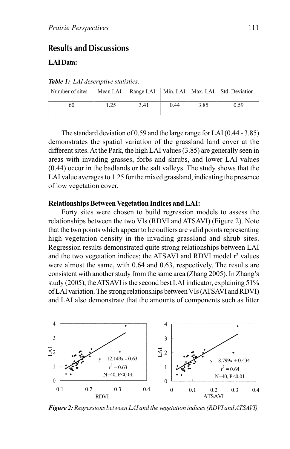# **Results and Discussions**

### **LAI Data:**

*Table 1: LAI descriptive statistics.*

| Number of sites | Mean LAI |      |      |      | Range LAI   Min. LAI   Max. LAI   Std. Deviation |
|-----------------|----------|------|------|------|--------------------------------------------------|
| 60              | 0.25     | 3.41 | 0.44 | 3.85 | 0.59                                             |

The standard deviation of 0.59 and the large range for LAI (0.44 - 3.85) demonstrates the spatial variation of the grassland land cover at the different sites. At the Park, the high LAI values (3.85) are generally seen in areas with invading grasses, forbs and shrubs, and lower LAI values (0.44) occur in the badlands or the salt valleys. The study shows that the LAI value averages to 1.25 for the mixed grassland, indicating the presence of low vegetation cover.

#### **Relationships Between Vegetation Indices and LAI:**

Forty sites were chosen to build regression models to assess the relationships between the two VIs (RDVI and ATSAVI) (Figure 2). Note that the two points which appear to be outliers are valid points representing high vegetation density in the invading grassland and shrub sites. Regression results demonstrated quite strong relationships between LAI and the two vegetation indices; the ATSAVI and RDVI model  $r^2$  values were almost the same, with 0.64 and 0.63, respectively. The results are consistent with another study from the same area (Zhang 2005). In Zhang's study (2005), the ATSAVI is the second best LAI indicator, explaining 51% of LAI variation. The strong relationships between VIs (ATSAVI and RDVI) and LAI also demonstrate that the amounts of components such as litter



*Figure 2: Regressions between LAI and the vegetation indices (RDVI and ATSAVI).*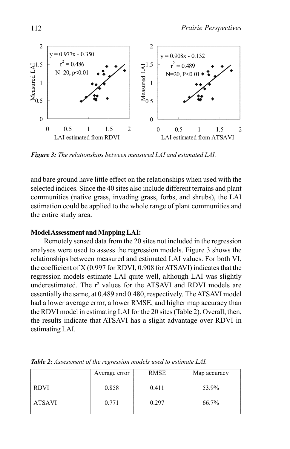

*Figure 3: The relationships between measured LAI and estimated LAI.*

and bare ground have little effect on the relationships when used with the selected indices. Since the 40 sites also include different terrains and plant communities (native grass, invading grass, forbs, and shrubs), the LAI estimation could be applied to the whole range of plant communities and the entire study area.

### **Model Assessment and Mapping LAI:**

Remotely sensed data from the 20 sites not included in the regression analyses were used to assess the regression models. Figure 3 shows the relationships between measured and estimated LAI values. For both VI, the coefficient of X (0.997 for RDVI, 0.908 for ATSAVI) indicates that the regression models estimate LAI quite well, although LAI was slightly underestimated. The r<sup>2</sup> values for the ATSAVI and RDVI models are essentially the same, at 0.489 and 0.480, respectively. The ATSAVI model had a lower average error, a lower RMSE, and higher map accuracy than the RDVI model in estimating LAI for the 20 sites (Table 2). Overall, then, the results indicate that ATSAVI has a slight advantage over RDVI in estimating LAI.

|               | Average error | <b>RMSE</b> | Map accuracy |
|---------------|---------------|-------------|--------------|
| <b>RDVI</b>   | 0.858         | 0.411       | 53.9%        |
| <b>ATSAVI</b> | 0.771         | 0.297       | 66.7%        |

*Table 2: Assessment of the regression models used to estimate LAI.*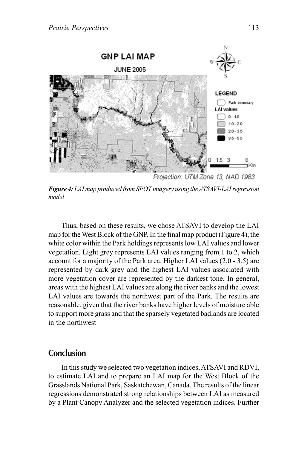

*Figure 4: LAI map produced from SPOT imagery using the ATSAVI-LAI regression model*

Thus, based on these results, we chose ATSAVI to develop the LAI map for the West Block of the GNP. In the final map product (Figure 4), the white color within the Park holdings represents low LAI values and lower vegetation. Light grey represents LAI values ranging from 1 to 2, which account for a majority of the Park area. Higher LAI values (2.0 - 3.5) are represented by dark grey and the highest LAI values associated with more vegetation cover are represented by the darkest tone. In general, areas with the highest LAI values are along the river banks and the lowest LAI values are towards the northwest part of the Park. The results are reasonable, given that the river banks have higher levels of moisture able to support more grass and that the sparsely vegetated badlands are located in the northwest

# **Conclusion**

In this study we selected two vegetation indices, ATSAVI and RDVI, to estimate LAI and to prepare an LAI map for the West Block of the Grasslands National Park, Saskatchewan, Canada. The results of the linear regressions demonstrated strong relationships between LAI as measured by a Plant Canopy Analyzer and the selected vegetation indices. Further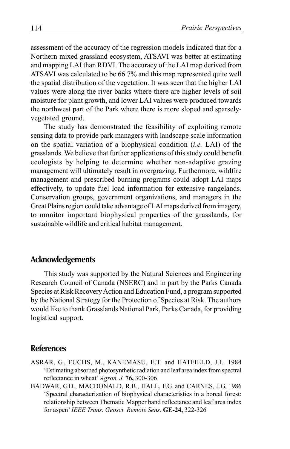assessment of the accuracy of the regression models indicated that for a Northern mixed grassland ecosystem, ATSAVI was better at estimating and mapping LAI than RDVI. The accuracy of the LAI map derived from ATSAVI was calculated to be 66.7% and this map represented quite well the spatial distribution of the vegetation. It was seen that the higher LAI values were along the river banks where there are higher levels of soil moisture for plant growth, and lower LAI values were produced towards the northwest part of the Park where there is more sloped and sparselyvegetated ground.

The study has demonstrated the feasibility of exploiting remote sensing data to provide park managers with landscape scale information on the spatial variation of a biophysical condition (*i.e.* LAI) of the grasslands. We believe that further applications of this study could benefit ecologists by helping to determine whether non-adaptive grazing management will ultimately result in overgrazing. Furthermore, wildfire management and prescribed burning programs could adopt LAI maps effectively, to update fuel load information for extensive rangelands. Conservation groups, government organizations, and managers in the Great Plains region could take advantage of LAI maps derived from imagery, to monitor important biophysical properties of the grasslands, for sustainable wildlife and critical habitat management.

# **Acknowledgements**

This study was supported by the Natural Sciences and Engineering Research Council of Canada (NSERC) and in part by the Parks Canada Species at Risk Recovery Action and Education Fund, a program supported by the National Strategy for the Protection of Species at Risk. The authors would like to thank Grasslands National Park, Parks Canada, for providing logistical support.

# **References**

- ASRAR, G., FUCHS, M., KANEMASU, E.T. and HATFIELD, J.L. 1984 'Estimating absorbed photosynthetic radiation and leaf area index from spectral reflectance in wheat' *Agron. J.* **76,** 300-306
- BADWAR, G.D., MACDONALD, R.B., HALL, F.G. and CARNES, J.G. 1986 'Spectral characterization of biophysical characteristics in a boreal forest: relationship between Thematic Mapper band reflectance and leaf area index for aspen' *IEEE Trans. Geosci. Remote Sens.* **GE-24,** 322-326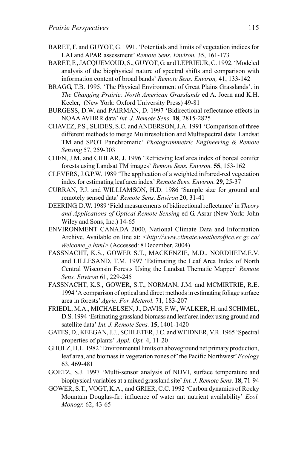- BARET, F. and GUYOT, G. 1991. 'Potentials and limits of vegetation indices for LAI and APAR assessment' *Remote Sens. Environ.* 35, 161-173
- BARET, F., JACQUEMOUD, S., GUYOT, G. and LEPRIEUR, C. 1992. 'Modeled analysis of the biophysical nature of spectral shifts and comparison with information content of broad bands' *Remote Sens. Environ,* 41, 133-142
- BRAGG, T.B. 1995. 'The Physical Environment of Great Plains Grasslands'. in *The Changing Prairie: North American Grasslands* ed A. Joern and K.H. Keeler, (New York: Oxford University Press) 49-81
- BURGESS, D.W. and PAIRMAN, D. 1997 'Bidirectional reflectance effects in NOAA AVHRR data' *Int. J. Remote Sens.* **18**, 2815-2825
- CHAVEZ, P.S., SLIDES, S.C. and ANDERSON, J.A. 1991 'Comparison of three different methods to merge Multiresolution and Multispectral data: Landsat TM and SPOT Panchromatic' *Photogrammetric Engineering & Remote Sensing* 57, 259-303
- CHEN, J.M. and CIHLAR, J. 1996 'Retrieving leaf area index of boreal conifer forests using Landsat TM images' *Remote Sens. Environ.* **55**, 153-162
- CLEVERS, J.G.P.W. 1989 'The application of a weighted infrared-red vegetation index for estimating leaf area index' *Remote Sens. Environ.* **29**, 25-37
- CURRAN, P.J. and WILLIAMSON, H.D. 1986 'Sample size for ground and remotely sensed data' *Remote Sens. Environ* 20, 31-41
- DEERING, D.W. 1989 'Field measurements of bidirectional reflectance' in *Theory and Applications of Optical Remote Sensing* ed G. Asrar (New York: John Wiley and Sons, Inc.) 14-65
- ENVIRONMENT CANADA 2000, National Climate Data and Information Archive. Available on line at: *<http://www.climate.weatheroffice.ec.gc.ca/ Welcome\_e.html>* (Accessed: 8 December, 2004)
- FASSNACHT, K.S., GOWER S.T., MACKENZIE, M.D., NORDHEIM,E.V. and LILLESAND, T.M. 1997 'Estimating the Leaf Area Index of North Central Wisconsin Forests Using the Landsat Thematic Mapper' *Remote Sens. Environ* 61, 229-245
- FASSNACHT, K.S., GOWER, S.T., NORMAN, J.M. and MCMIRTRIE, R.E. 1994 'A comparison of optical and direct methods in estimating foliage surface area in forests' *Agric. For. Meterol.* 71, 183-207
- FRIEDL, M.A., MICHAELSEN, J., DAVIS, F.W., WALKER, H. and SCHIMEL, D.S. 1994 'Estimating grassland biomass and leaf area index using ground and satellite data' *Int. J. Remote Sens.* **15**, 1401-1420
- GATES, D., KEEGAN, J.J., SCHLETER, J.C. and WEIDNER, V.R. 1965 'Spectral properties of plants' *Appl. Opt.* 4, 11-20
- GHOLZ, H.L. 1982 'Environmental limits on aboveground net primary production, leaf area, and biomass in vegetation zones of' the Pacific Northwest' *Ecology* 63, 469-481
- GOETZ, S.J. 1997 'Multi-sensor analysis of NDVI, surface temperature and biophysical variables at a mixed grassland site' *Int. J. Remote Sens.* **18**, 71-94
- GOWER, S.T., VOGT, K.A., and GRIER, C.C. 1992 'Carbon dynamics of Rocky Mountain Douglas-fir: influence of water ant nutrient availability' *Ecol. Monogr.* 62, 43-65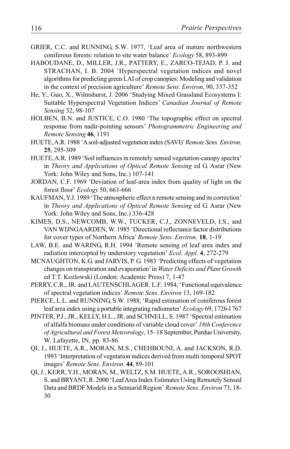- GRIER, C.C. and RUNNING, S.W. 1977, 'Leaf area of mature northwestern coniferous forests: relation to site water balance' *Ecology* 58, 893-899
- HABOUDANE, D., MILLER, J.R., PATTERY, E., ZARCO-TEJAD, P. J. and STRACHAN, I. B. 2004 'Hyperspectral vegetation indices and novel algorithms for predicting green LAI of crop canopies: Modeling and validation in the context of precision agriculture' *Remote Sens. Environ*, 90, 337-352
- He, Y., Guo, X., Wilmshurst, J. 2006 'Studying Mixed Grassland Ecosystems I: Suitable Hyperspectral Vegetation Indices' *Canadian Journal of Remote Sensing* 32, 98-107
- HOLBEN, B.N. and JUSTICE, C.O. 1980 'The topographic effect on spectral response from nadir-pointing sensors' *Photogrammetric Engineering and Remote Sensing* **46**, 1191
- HUETE, A.R. 1988 'A soil-adjusted vegetation index (SAVI)' *Remote Sens. Environ.* **25**, 295-309
- HUETE, A.R. 1989 'Soil influences in remotely sensed vegetation-canopy spectra' in *Theory and Applications of Optical Remote Sensing* ed G. Asrar (New York: John Wiley and Sons, Inc.) 107-141
- JORDAN, C.F. 1969 'Deviation of leaf-area index from quality of light on the forest floor' *Ecology* 50, 663-666
- KAUFMAN, Y.J. 1989 'The atmospheric effect n remote sensing and its correction' in *Theory and Applications of Optical Remote Sensing* ed G. Asrar (New York: John Wiley and Sons, Inc.) 336-428
- KIMES, D.S., NEWCOMB, W.W., TUCKER, C.J., ZONNEVELD, I.S., and VAN WIJNGAARDEN, W. 1985 'Directional reflectance factor distributions for cover types of Northern Africa' *Remote Sens. Environ.* **18**, 1-19
- LAW, B.E. and WARING, R.H. 1994 'Remote sensing of leaf area index and radiation intercepted by understory vegetation' *Ecol. Appl.* **4**, 272-279
- MCNAUGHTON, K.G. and JARVIS, P. G. 1983 'Predicting effects of vegetation changes on transpiration and evaporation' in *Water Deficits and Plant Growth* ed T.T. Kozlowski (London: Academic Press) 7, 1-47
- PERRY, C.R., JR. and LAUTENSCHLAGER. L.F. 1984, 'Functional equivalence of spectral vegetation indices' *Remote Sens. Environ* 13, 169-182
- PIERCE, L.L. and RUNNING, S.W. 1988, 'Rapid estimation of coniferous forest leaf area index using a portable integrating radiometer' *Ecology* 69, 1726-l 767
- PINTER, P.J., JR., KELLY, H.L., JR. and SCHNELL, S. 1987 'Spectral estimation of alfalfa biomass under conditions of variable cloud cover' *18th Conference of Agricultural and Forest Meteorology*, 15–18 September, Purdue University, W. Lafayette, IN, pp. 83-86
- QI, J., HUETE, A.R., MORAN, M.S., CHEHBOUNI, A. and JACKSON, R.D. 1993 'Interpretation of vegetation indices derived from multi-temporal SPOT images' *Remote Sens. Environ.* **44**, 89-101
- QI, J., KERR, Y.H., MORAN, M., WELTZ, S.M. HUETE, A.R., SOROOSHIAN, S. and BRYANT, R. 2000 'Leaf Area Index Estimates Using Remotely Sensed Data and BRDF Models in a Semiarid Region' *Remote Sens. Environ* 73, 18- 30